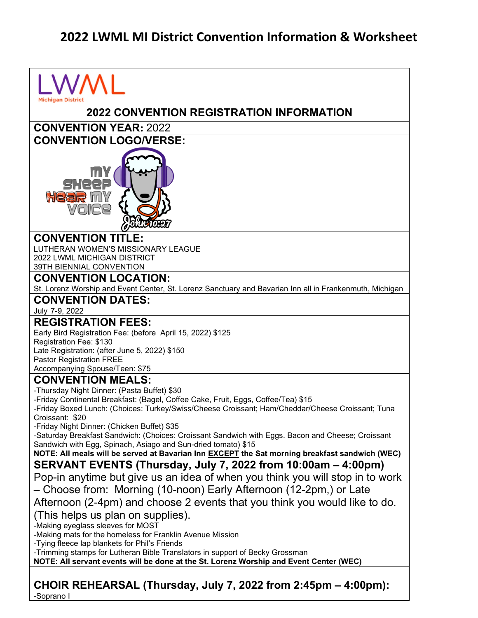## **2022 LWML MI District Convention Information & Worksheet**